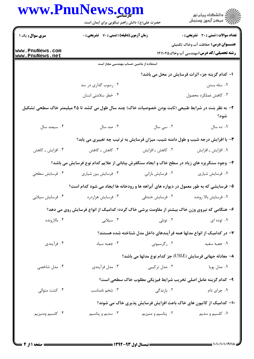|                       | حضرت علی(ع): دانش راهبر نیکویی برای ایمان است                                                        |                    | ڪ دانشڪاه پيام نور<br>/> مرڪز آزمون وسنڊش                                  |
|-----------------------|------------------------------------------------------------------------------------------------------|--------------------|----------------------------------------------------------------------------|
| <b>سری سوال:</b> یک ۱ | زمان آزمون (دقیقه) : تستی : 70 ٪ تشریحی : 0                                                          |                    | <b>تعداد سوالات : تستی : 30 ٪ تشریحی : 0</b>                               |
| www.PnuNews.com       |                                                                                                      |                    | <b>عنـــوان درس:</b> حفاظت آب وخاک تکمیلی                                  |
| www.PnuNews.net       |                                                                                                      |                    | <b>رشته تحصیلی/کد درس:</b> مهندسی آب وخاک1۴۱۱۰۴۵                           |
|                       | استفاده از ماشین حساب مهندسی مجاز است                                                                |                    |                                                                            |
|                       |                                                                                                      |                    | ا- كدام گزينه جزء اثرات فرسايش در محل مي باشد؟                             |
|                       | ۰۲ رسوب گذاری در سد                                                                                  |                    | ۰۱ سله بستن                                                                |
|                       | ۰۴ خطر سلامتی انسان                                                                                  |                    | ۰۳ کاهش عملکرد محصول                                                       |
|                       | ۲– به نظر بنت در شرایط طبیعی (ثابت بودن خصوصیات خاک) چند سال طول می کشد تا ۲۵ میلیمتر خاک سطحی تشکیل |                    | شود؟                                                                       |
| ۰۴ سیصد سال           | ۰۳ صد سال                                                                                            | ۰۲ سی سال          | ۰۱ ده سال                                                                  |
|                       | ۳- با افزایش درجه شیب و طول دامنه شیب، میزان فرسایش به ترتیب چه تغییری می یابد؟                      |                    |                                                                            |
| ۰۴ افزایش ـ کاهش      | ۰۳ کاهش ــ کاهش                                                                                      | ۰۲ کاهش ـ افزايش   | ۰۱ افزایش ـ افزایش                                                         |
|                       | ۴- وجود سنگریزه های زیاد در سطح خاک و ایجاد سنگفرش بیابانی از علایم کدام نوع فرسایش می باشد؟         |                    |                                                                            |
| ۰۴ فرسایش سطحی        | ۰۳ فرسایش بین شیاری                                                                                  | ۰۲ فرسایش بارانی   | ٠١ فرسايش شيارى                                                            |
|                       | ۵- فرسایشی که به طور معمول در دیواره های آبراهه ها و رودخانه ها ایجاد می شود کدام است؟               |                    |                                                                            |
| ۰۴ فرسایش سیلابی      | ۰۳ فرسایش هزاردره                                                                                    | ۰۲ فرسایش خندقی    | ٠١ فرسايش بالا رونده                                                       |
|                       | ۶– هنگامی که نیروی وزن خاک بیشتر از مقاومت برشی خاک گردد؛ کدامیک از انواع فرسایش روی می دهد؟         |                    |                                                                            |
| ۰۴ بالارونده          | ۰۳ سیلابی                                                                                            | ۰۲ تونلی           | ۰۱ توده ای                                                                 |
|                       |                                                                                                      |                    | ۷– در کدامیک از انواع مدلها همه فر آیندهای داخل مدل شناخته شده هستند؟      |
| ۰۴ فرآیندی            | $\cdot$ ۳ جعبه سیاه                                                                                  | ۰۲ رگرسیونی        | ۰۱ جعبه سفید                                                               |
|                       |                                                                                                      |                    | ۸− معادله جهانی فرسایش (USLE) جز کدام نوع مدلها می باشد؟                   |
| ۰۴ مدل شاخصی          | ۰۳ مدل فرآیندی                                                                                       | ۰۲ مدل ترکیبی      | ۰۱ مدل پویا                                                                |
|                       |                                                                                                      |                    | ۹- كدام گزینه عامل اصلی تخریب شرایط فیزیکی مطلوب خاک سطحی است؟             |
| ۰۴ کشت متوالی         | ۰۳ شخم نامناسب                                                                                       | ۰۲ بارندگ <i>ی</i> | ۰۱ چرای دام                                                                |
|                       |                                                                                                      |                    | <b>۱۰- کدامیک از کاتیون های خاک باعث افزایش فرسایش پذیری خاک می شوند</b> ؟ |
| ۰۴ كلسيم ومنيزيم      | ۰۳ سدیم و پتاسیم                                                                                     | ۰۲ پتاسیم و منیزیم | ۰۱ کلسیم و سدیم                                                            |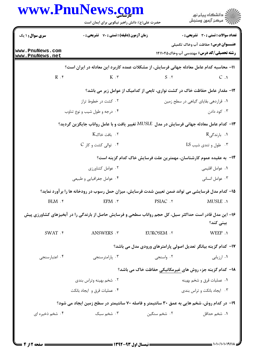| www.PnuNews.com                    | حضرت علی(ع): دانش راهبر نیکویی برای ایمان است                                                           |                                                                      | ڪ دانشڪاه پيا <sub>م</sub> نور<br><i>آ</i> 7 مرڪز آزمون وسنڊش                                          |  |
|------------------------------------|---------------------------------------------------------------------------------------------------------|----------------------------------------------------------------------|--------------------------------------------------------------------------------------------------------|--|
| <b>سری سوال : ۱ یک</b>             | زمان آزمون (دقیقه) : تستی : 70 گشریحی : 0                                                               |                                                                      | تعداد سوالات : تستي : 30 ٪ تشريحي : 0                                                                  |  |
| www.PnuNews.com<br>www.PnuNews.net |                                                                                                         |                                                                      | <b>عنـــوان درس:</b> حفاظت آب وخاک تکمیلی<br><b>رشته تحصیلی/کد درس: م</b> هندسی آب وخاک14110 <b>14</b> |  |
|                                    | 11– محاسبه کدام عامل معادله جهانی فرسایش، از مشکلات عمده کاربرد این معادله در ایران است؟                |                                                                      |                                                                                                        |  |
| $R$ . ۴                            | $K \cdot \tau$                                                                                          | $S \cdot Y$                                                          | $C \cdot 1$                                                                                            |  |
|                                    | ۱۲- مقدار عامل حفاظت خاک در کشت نواری، تابعی از کدامیک از عوامل زیر می باشد؟                            |                                                                      |                                                                                                        |  |
|                                    | ۰۲ کشت در خطوط تراز                                                                                     |                                                                      | ٠١ قراردهي بقاياي گياهي در سطح زمين                                                                    |  |
|                                    | ۰۴ درجه و طول شیب و نوع تناوب                                                                           |                                                                      | ۰۳ کود دادن                                                                                            |  |
|                                    | ۱۳- کدام عامل معادله جهانی فرسایش در مدل  MUSLE تغییر یافت و با عامل رواناب جایگزین گردید؟              |                                                                      |                                                                                                        |  |
|                                    | ۰۲ بافت خاکK                                                                                            |                                                                      | ۱. بارندگ <sub>ی</sub> R                                                                               |  |
|                                    | $C_1$ ۲۰ توالی کشت و کار ۲۰                                                                             |                                                                      | ۰۳ طول و تندی شیب LS                                                                                   |  |
|                                    |                                                                                                         | ۱۴–  به عقیده عموم کارشناسان، مهمترین علت فرسایش خاک کدام گزینه است؟ |                                                                                                        |  |
|                                    | ۰۲ عوامل کشاورزی                                                                                        |                                                                      | ٠١ عوامل اقليمي                                                                                        |  |
|                                    | ۰۴ عوامل جغرافیایی و طبیعی                                                                              |                                                                      | ۰۳ عوامل انسانی                                                                                        |  |
|                                    | ۱۵– کدام مدل فرسایشی می تواند ضمن تعیین شدت فرسایش، میزان حمل رسوب در رودخانه ها را برآورد نماید؟       |                                                                      |                                                                                                        |  |
| $BLM.$ ۴                           | $EPM \cdot \tau$                                                                                        | PSIAC .٢                                                             | <b>MUSLE</b> .1                                                                                        |  |
|                                    | ۱۶– این مدل قادر است حداکثر سیل، کل حجم رواناب سطحی و فرسایش حاصل از بارندگی را در آبخیزهای کشاورزی پیش |                                                                      | بینی کند؟                                                                                              |  |
| $SWAT .$ *                         | ANSWERS . ٣                                                                                             | <b>EUROSEM .Y</b>                                                    | WEEP .1                                                                                                |  |
|                                    |                                                                                                         | ۱۷– کدام گزینه بیانگر تعدیل اصولی پارامترهای ورودی مدل می باشد؟      |                                                                                                        |  |
| ۰۴ اعتبارسنجي                      | ۰۳ پارامترسنجي                                                                                          | ۰۲ واسنجي                                                            | ۰۱ ارزیابی                                                                                             |  |
|                                    |                                                                                                         | <b>۱۸- کدام گزینه جزء روش های غیرمکانیکی حفاظت خاک می باشد؟</b>      |                                                                                                        |  |
|                                    | ۰۲ شخم بهینه وتراس بندی                                                                                 |                                                                      | ۰۱ عملیات قرق و شخم بهینه                                                                              |  |
| ۰۴ عملیات قرق و ایجاد بانکت        |                                                                                                         | ۰۳ ایجاد بانکت و تراس بندی                                           |                                                                                                        |  |
|                                    | ۱۹- در کدام روش، شخم هایی به عمق ۳۰ سانتیمتر و فاصله ۷۰ سانتیمتر در سطح زمین ایجاد می شود؟              |                                                                      |                                                                                                        |  |
| ۰۴ شخم ذخیره ای                    | ۰۳ شخم سبک                                                                                              | ۰۲ شخم سنگین                                                         | ۰۱ شخ <sub>م</sub> حداقل                                                                               |  |

 $= 1.1 - (1.1191)$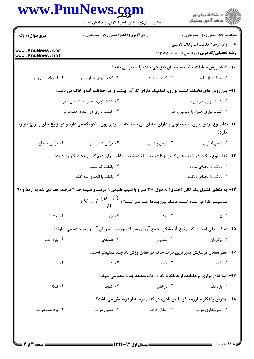|                                    | www.PnuNews.com<br>حضرت علی(ع): دانش راهبر نیکویی برای ایمان است                                                   |                          | ڪ دانشڪاه پيا <sub>م</sub> نور<br><mark>ر</mark> ∕ مرڪز آزمون وسنڊش                            |
|------------------------------------|--------------------------------------------------------------------------------------------------------------------|--------------------------|------------------------------------------------------------------------------------------------|
| <b>سری سوال : ۱ یک</b>             | زمان آزمون (دقیقه) : تستی : 70 گشریحی : 0                                                                          |                          | <b>تعداد سوالات : تستی : 30 ٪ تشریحی : 0</b>                                                   |
| www.PnuNews.com<br>www.PnuNews.net |                                                                                                                    |                          | <b>عنـــوان درس:</b> حفاظت آب وخاک تکمیلی<br><b>رشته تحصیلی/کد درس: م</b> هندسی آب وخاک1۴۱۱۰۴۵ |
|                                    |                                                                                                                    |                          | ۲۰- کدام روش حفاظت خاک، ساختمان فیزیکی خاک را تغییر می دهد؟                                    |
| ۰۴ استفاده از پلیمر                | ۰۳ کشت روی خطوط تراز                                                                                               | ۰۲ کشت مجدد              | ۰۱ استفاده از مالچ                                                                             |
|                                    | <b>۲۱</b> - بین روش های مختلف کشت نواری، کدامیک دارای کارآیی بیشتری در حفاظت آب و خاک می باشد؟                     |                          |                                                                                                |
|                                    | ۰۲ کشت نواری همراه با گیاهان بافر                                                                                  |                          | ۰۱ کشت نواری در مزرعه                                                                          |
|                                    | ۰۴ کشت نواری در امتداد خطوط تراز                                                                                   |                          | ۰۳ کشت نواری همراه با تناوب زراعی                                                              |
|                                    | ۲۲- کدام نوع تراس بدون شیب طولی و دارای لبه ای می باشد که آب را بر روی سکو نگه می دارد و درمزارع چای و برنج کاربرد |                          | دارد؟                                                                                          |
| ۰۴ تراس مسطح                       | ۰۳ تراس شیب دار                                                                                                    | ٠٢ تراس پله ای           | ٠١ تراس آبياري                                                                                 |
|                                    | <b>۲۳</b> - کدام نوع بانکت در شیب های کمتر از ۶ درصد ساخته شده و اغلب برای دیم کاری غلات کاربرد دارد؟              |                          |                                                                                                |
|                                    | ۰۲ بانکت کم شیب                                                                                                    |                          | ٠١. بانكت با انحناى ساده                                                                       |
|                                    | ۰۴ بانکت با انحنای سه گانه                                                                                         |                          | ۰۳ بانکت با انحنای دوگانه                                                                      |
|                                    | ۲۴- به منظور کنترل یک گالی (خندق) به طول ۳۰۰ متر و با شیب طبیعی ۹ درصد و شیب حد ۳ درصد، تعدادی بند به ارتفاع ۹۰    |                          |                                                                                                |
|                                    | سانتیمتر طراحی شده است. فاصله بین بندها چند متر است؟ ( $L\frac{(p-i)}{m}=L$                                        |                          |                                                                                                |
| $\gamma$ . $\zeta$                 | 10.7                                                                                                               | $\lambda \cdot \lambda$  | $\Delta$ . 1                                                                                   |
|                                    | ۲۵- هدف اصلی احداث کدام نوع آب شکن، جمع آوری رسوبات بوده و با جریان آب زاویه حاده می سازند؟                        |                          |                                                                                                |
| ۰۴ بازدارنده                       | ۰۳ عمودی                                                                                                           | ۰۲ معمولی                | ۰۱ برگردان                                                                                     |
|                                    |                                                                                                                    |                          | ۲۶- قطر معادل فرسایش پذیرترین ذرات خاک در مقابل وزش باد چند میلیمتر است؟                       |
| .10.7                              | $\cdot/\rangle$ . $\tilde{r}$                                                                                      | $\cdot/\cdot \Delta$ . Y | $\cdot/\cdot$ \ . \                                                                            |
|                                    |                                                                                                                    |                          | <b>۲۷-</b> تپه های موازی برجامانده از عملکرد باد در یک منطقه چه نامیده می شوند؟                |
| ۰۴ نبکا                            | ۰۳ کلوت                                                                                                            | ۰۲ بارخان                | ۰۱ یاردانگ                                                                                     |
|                                    |                                                                                                                    |                          | ۲۸- بهترین راهکار مبارزه با فرسایش بادی، در کدام مرحله از فرسایش می باشد؟                      |
| ۰۴ برداشت ذرات                     | ۰۳ تعلیق ذرات                                                                                                      | ۰۲ انتقال ذرات           | ۰۱ رسوبگذاری ذرات                                                                              |
|                                    |                                                                                                                    |                          |                                                                                                |
|                                    |                                                                                                                    |                          |                                                                                                |